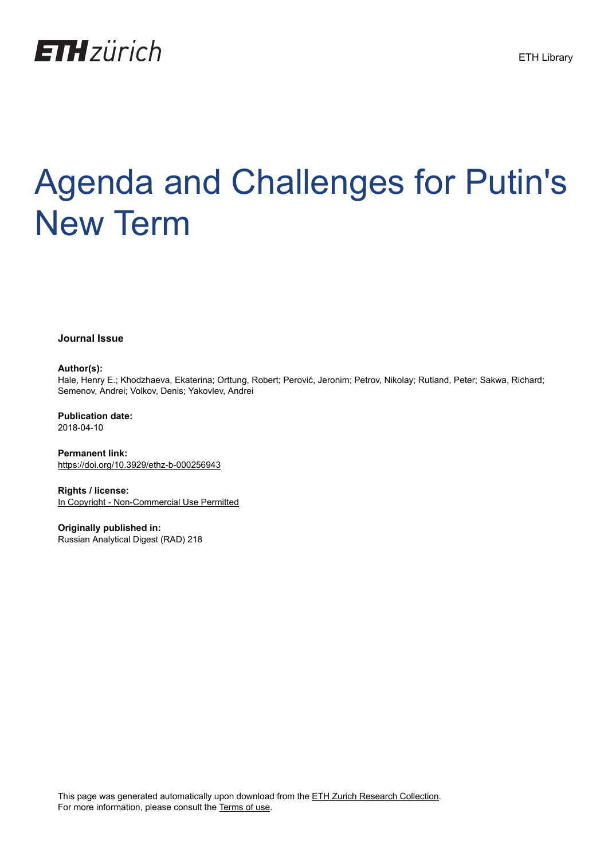

# Agenda and Challenges for Putin's New Term

**Journal Issue**

#### **Author(s):**

Hale, Henry E.; Khodzhaeva, Ekaterina; Orttung, Robert; Perović, Jeronim; Petrov, Nikolay; Rutland, Peter; Sakwa, Richard; Semenov, Andrei; Volkov, Denis; Yakovlev, Andrei

**Publication date:** 2018-04-10

**Permanent link:** <https://doi.org/10.3929/ethz-b-000256943>

**Rights / license:** [In Copyright - Non-Commercial Use Permitted](http://rightsstatements.org/page/InC-NC/1.0/)

**Originally published in:** Russian Analytical Digest (RAD) 218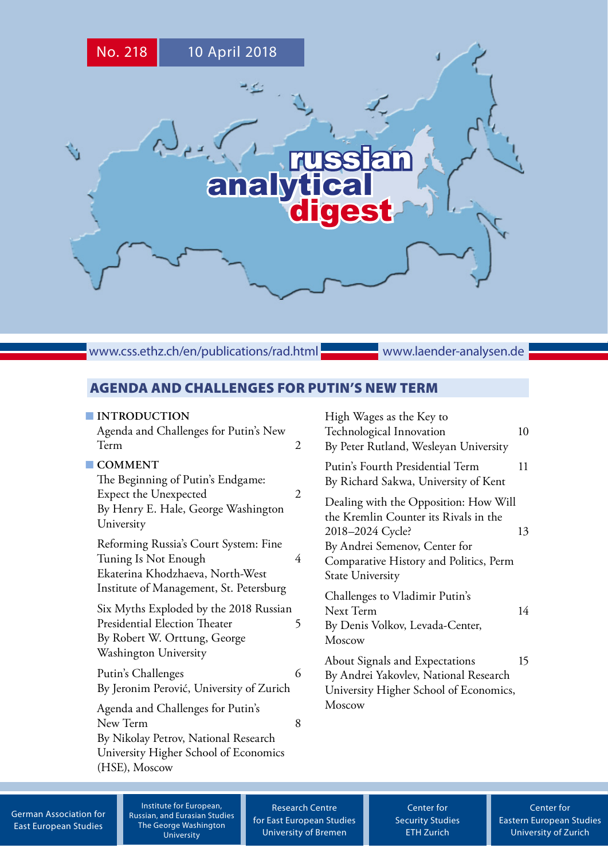

www.css.ethz.ch/en/publications/rad.html

www.laender-analysen.de

# AGENDA AND CHALLENGES FOR PUTIN'S NEW TERM

# ■ **[INTRODUCTION](#page-2-0)**

| <b>INTRODUCTION</b>                                                                                    | High Wages as the Key to                                                                           |
|--------------------------------------------------------------------------------------------------------|----------------------------------------------------------------------------------------------------|
| Agenda and Challenges for Putin's New                                                                  | Technological Innovation                                                                           |
| Term                                                                                                   | 10                                                                                                 |
| $\overline{2}$                                                                                         | By Peter Rutland, Wesleyan University                                                              |
| <b>COMMENT</b><br>The Beginning of Putin's Endgame:                                                    | Putin's Fourth Presidential Term<br>11<br>By Richard Sakwa, University of Kent                     |
| Expect the Unexpected                                                                                  | Dealing with the Opposition: How Will                                                              |
| $\overline{2}$                                                                                         | the Kremlin Counter its Rivals in the                                                              |
| By Henry E. Hale, George Washington                                                                    | 2018–2024 Cycle?                                                                                   |
| University                                                                                             | 13                                                                                                 |
| Reforming Russia's Court System: Fine<br>Tuning Is Not Enough<br>4<br>Ekaterina Khodzhaeva, North-West | By Andrei Semenov, Center for<br>Comparative History and Politics, Perm<br><b>State University</b> |
| Institute of Management, St. Petersburg                                                                | Challenges to Vladimir Putin's                                                                     |
| Six Myths Exploded by the 2018 Russian                                                                 | Next Term                                                                                          |
| <b>Presidential Election Theater</b>                                                                   | 14                                                                                                 |
| 5                                                                                                      | By Denis Volkov, Levada-Center,                                                                    |
| By Robert W. Orttung, George                                                                           | Moscow                                                                                             |
| Washington University                                                                                  | About Signals and Expectations                                                                     |
| Putin's Challenges                                                                                     | 15                                                                                                 |
| 6                                                                                                      | By Andrei Yakovlev, National Research                                                              |
| By Jeronim Perović, University of Zurich                                                               | University Higher School of Economics,                                                             |
| Agenda and Challenges for Putin's<br>New Term<br>8<br>By Nikolay Petrov, National Research             | Moscow                                                                                             |

[German Association for](http://www.dgo-online.org/) [East European Studies](http://www.dgo-online.org/)

Institute for European, Russian, and Eurasian Studies The George Washington University

[\(HSE\), Moscow](#page-8-0)

[University Higher School of Economics](#page-8-0) 

[Research Centre](http://www.forschungsstelle.uni-bremen.de/) [for East European Studies](http://www.forschungsstelle.uni-bremen.de/) [University of Bremen](http://www.forschungsstelle.uni-bremen.de/)

[Center for](http://www.css.ethz.ch/) [Security Studies](http://www.css.ethz.ch/) [ETH Zurich](http://www.css.ethz.ch/)

[Center for](http://www.cees.uzh.ch/) [Eastern European Studies](http://www.cees.uzh.ch/) [University of Zurich](http://www.cees.uzh.ch/)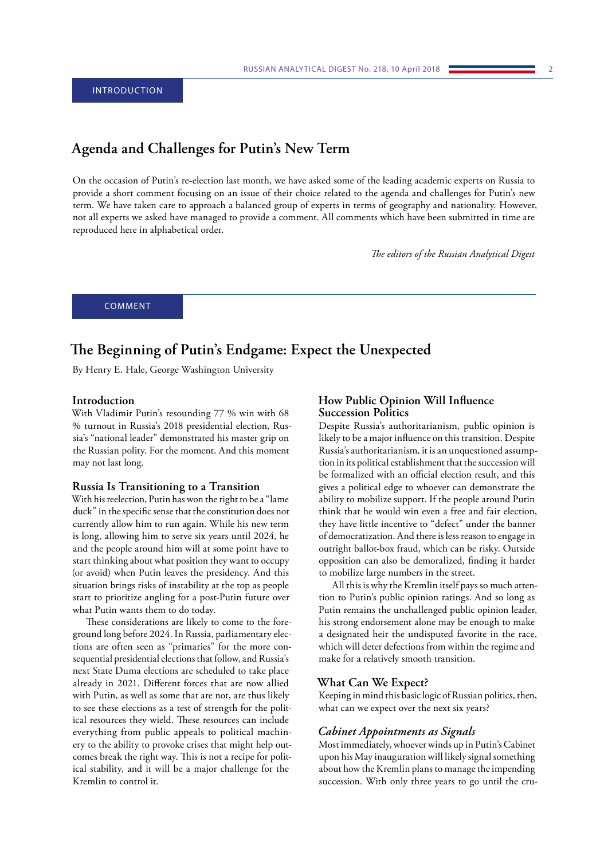# <span id="page-2-0"></span>**Agenda and Challenges for Putin's New Term**

On the occasion of Putin's re-election last month, we have asked some of the leading academic experts on Russia to provide a short comment focusing on an issue of their choice related to the agenda and challenges for Putin's new term. We have taken care to approach a balanced group of experts in terms of geography and nationality. However, not all experts we asked have managed to provide a comment. All comments which have been submitted in time are reproduced here in alphabetical order.

*The editors of the Russian Analytical Digest*

COMMENT

# **The Beginning of Putin's Endgame: Expect the Unexpected**

By Henry E. Hale, George Washington University

## **Introduction**

With Vladimir Putin's resounding 77 % win with 68 % turnout in Russia's 2018 presidential election, Russia's "national leader" demonstrated his master grip on the Russian polity. For the moment. And this moment may not last long.

#### **Russia Is Transitioning to a Transition**

With his reelection, Putin has won the right to be a "lame duck" in the specific sense that the constitution does not currently allow him to run again. While his new term is long, allowing him to serve six years until 2024, he and the people around him will at some point have to start thinking about what position they want to occupy (or avoid) when Putin leaves the presidency. And this situation brings risks of instability at the top as people start to prioritize angling for a post-Putin future over what Putin wants them to do today.

These considerations are likely to come to the foreground long before 2024. In Russia, parliamentary elections are often seen as "primaries" for the more consequential presidential elections that follow, and Russia's next State Duma elections are scheduled to take place already in 2021. Different forces that are now allied with Putin, as well as some that are not, are thus likely to see these elections as a test of strength for the political resources they wield. These resources can include everything from public appeals to political machinery to the ability to provoke crises that might help outcomes break the right way. This is not a recipe for political stability, and it will be a major challenge for the Kremlin to control it.

# **How Public Opinion Will Influence Succession Politics**

Despite Russia's authoritarianism, public opinion is likely to be a major influence on this transition. Despite Russia's authoritarianism, it is an unquestioned assumption in its political establishment that the succession will be formalized with an official election result, and this gives a political edge to whoever can demonstrate the ability to mobilize support. If the people around Putin think that he would win even a free and fair election, they have little incentive to "defect" under the banner of democratization. And there is less reason to engage in outright ballot-box fraud, which can be risky. Outside opposition can also be demoralized, finding it harder to mobilize large numbers in the street.

All this is why the Kremlin itself pays so much attention to Putin's public opinion ratings. And so long as Putin remains the unchallenged public opinion leader, his strong endorsement alone may be enough to make a designated heir the undisputed favorite in the race, which will deter defections from within the regime and make for a relatively smooth transition.

# **What Can We Expect?**

Keeping in mind this basic logic of Russian politics, then, what can we expect over the next six years?

# *Cabinet Appointments as Signals*

Most immediately, whoever winds up in Putin's Cabinet upon his May inauguration will likely signal something about how the Kremlin plans to manage the impending succession. With only three years to go until the cru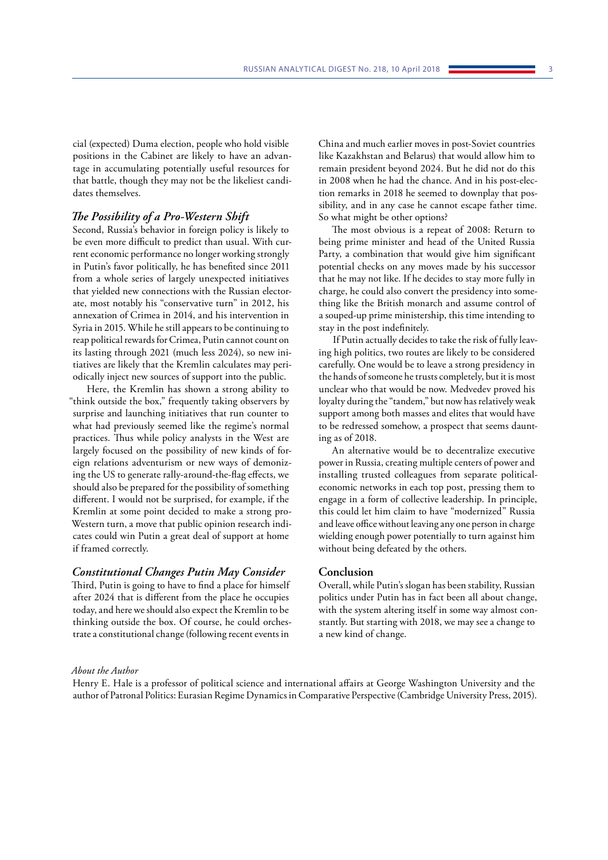cial (expected) Duma election, people who hold visible positions in the Cabinet are likely to have an advantage in accumulating potentially useful resources for that battle, though they may not be the likeliest candidates themselves.

# *The Possibility of a Pro-Western Shift*

Second, Russia's behavior in foreign policy is likely to be even more difficult to predict than usual. With current economic performance no longer working strongly in Putin's favor politically, he has benefited since 2011 from a whole series of largely unexpected initiatives that yielded new connections with the Russian electorate, most notably his "conservative turn" in 2012, his annexation of Crimea in 2014, and his intervention in Syria in 2015. While he still appears to be continuing to reap political rewards for Crimea, Putin cannot count on its lasting through 2021 (much less 2024), so new initiatives are likely that the Kremlin calculates may periodically inject new sources of support into the public.

Here, the Kremlin has shown a strong ability to "think outside the box," frequently taking observers by surprise and launching initiatives that run counter to what had previously seemed like the regime's normal practices. Thus while policy analysts in the West are largely focused on the possibility of new kinds of foreign relations adventurism or new ways of demonizing the US to generate rally-around-the-flag effects, we should also be prepared for the possibility of something different. I would not be surprised, for example, if the Kremlin at some point decided to make a strong pro-Western turn, a move that public opinion research indicates could win Putin a great deal of support at home if framed correctly.

#### *Constitutional Changes Putin May Consider*

Third, Putin is going to have to find a place for himself after 2024 that is different from the place he occupies today, and here we should also expect the Kremlin to be thinking outside the box. Of course, he could orchestrate a constitutional change (following recent events in

China and much earlier moves in post-Soviet countries like Kazakhstan and Belarus) that would allow him to remain president beyond 2024. But he did not do this in 2008 when he had the chance. And in his post-election remarks in 2018 he seemed to downplay that possibility, and in any case he cannot escape father time. So what might be other options?

The most obvious is a repeat of 2008: Return to being prime minister and head of the United Russia Party, a combination that would give him significant potential checks on any moves made by his successor that he may not like. If he decides to stay more fully in charge, he could also convert the presidency into something like the British monarch and assume control of a souped-up prime ministership, this time intending to stay in the post indefinitely.

If Putin actually decides to take the risk of fully leaving high politics, two routes are likely to be considered carefully. One would be to leave a strong presidency in the hands of someone he trusts completely, but it is most unclear who that would be now. Medvedev proved his loyalty during the "tandem," but now has relatively weak support among both masses and elites that would have to be redressed somehow, a prospect that seems daunting as of 2018.

An alternative would be to decentralize executive power in Russia, creating multiple centers of power and installing trusted colleagues from separate politicaleconomic networks in each top post, pressing them to engage in a form of collective leadership. In principle, this could let him claim to have "modernized" Russia and leave office without leaving any one person in charge wielding enough power potentially to turn against him without being defeated by the others.

## **Conclusion**

Overall, while Putin's slogan has been stability, Russian politics under Putin has in fact been all about change, with the system altering itself in some way almost constantly. But starting with 2018, we may see a change to a new kind of change.

#### *About the Author*

Henry E. Hale is a professor of political science and international affairs at George Washington University and the author of Patronal Politics: Eurasian Regime Dynamics in Comparative Perspective (Cambridge University Press, 2015).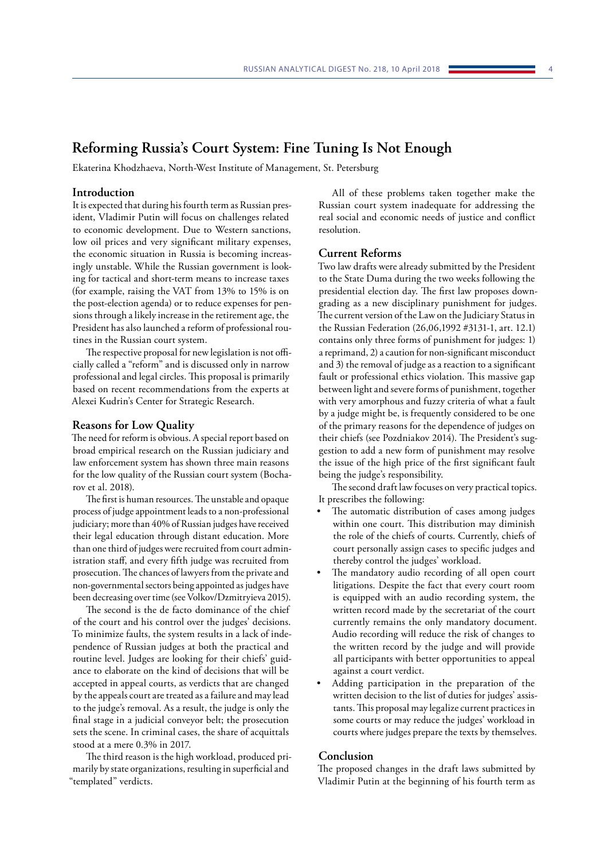# <span id="page-4-0"></span>**Reforming Russia's Court System: Fine Tuning Is Not Enough**

Ekaterina Khodzhaeva, North-West Institute of Management, St. Petersburg

## **Introduction**

It is expected that during his fourth term as Russian president, Vladimir Putin will focus on challenges related to economic development. Due to Western sanctions, low oil prices and very significant military expenses, the economic situation in Russia is becoming increasingly unstable. While the Russian government is looking for tactical and short-term means to increase taxes (for example, raising the VAT from 13% to 15% is on the post-election agenda) or to reduce expenses for pensions through a likely increase in the retirement age, the President has also launched a reform of professional routines in the Russian court system.

The respective proposal for new legislation is not officially called a "reform" and is discussed only in narrow professional and legal circles. This proposal is primarily based on recent recommendations from the experts at Alexei Kudrin's Center for Strategic Research.

#### **Reasons for Low Quality**

The need for reform is obvious. A special report based on broad empirical research on the Russian judiciary and law enforcement system has shown three main reasons for the low quality of the Russian court system (Bocharov et al. 2018).

The first is human resources. The unstable and opaque process of judge appointment leads to a non-professional judiciary; more than 40% of Russian judges have received their legal education through distant education. More than one third of judges were recruited from court administration staff, and every fifth judge was recruited from prosecution. The chances of lawyers from the private and non-governmental sectors being appointed as judges have been decreasing over time (see Volkov/Dzmitryieva 2015).

The second is the de facto dominance of the chief of the court and his control over the judges' decisions. To minimize faults, the system results in a lack of independence of Russian judges at both the practical and routine level. Judges are looking for their chiefs' guidance to elaborate on the kind of decisions that will be accepted in appeal courts, as verdicts that are changed by the appeals court are treated as a failure and may lead to the judge's removal. As a result, the judge is only the final stage in a judicial conveyor belt; the prosecution sets the scene. In criminal cases, the share of acquittals stood at a mere 0.3% in 2017.

The third reason is the high workload, produced primarily by state organizations, resulting in superficial and "templated" verdicts.

All of these problems taken together make the Russian court system inadequate for addressing the real social and economic needs of justice and conflict resolution.

# **Current Reforms**

Two law drafts were already submitted by the President to the State Duma during the two weeks following the presidential election day. The first law proposes downgrading as a new disciplinary punishment for judges. The current version of the Law on the Judiciary Status in the Russian Federation (26,06,1992 #3131-1, art. 12.1) contains only three forms of punishment for judges: 1) a reprimand, 2) a caution for non-significant misconduct and 3) the removal of judge as a reaction to a significant fault or professional ethics violation. This massive gap between light and severe forms of punishment, together with very amorphous and fuzzy criteria of what a fault by a judge might be, is frequently considered to be one of the primary reasons for the dependence of judges on their chiefs (see Pozdniakov 2014). The President's suggestion to add a new form of punishment may resolve the issue of the high price of the first significant fault being the judge's responsibility.

The second draft law focuses on very practical topics. It prescribes the following:

- The automatic distribution of cases among judges within one court. This distribution may diminish the role of the chiefs of courts. Currently, chiefs of court personally assign cases to specific judges and thereby control the judges' workload.
- The mandatory audio recording of all open court litigations. Despite the fact that every court room is equipped with an audio recording system, the written record made by the secretariat of the court currently remains the only mandatory document. Audio recording will reduce the risk of changes to the written record by the judge and will provide all participants with better opportunities to appeal against a court verdict.
- Adding participation in the preparation of the written decision to the list of duties for judges' assistants. This proposal may legalize current practices in some courts or may reduce the judges' workload in courts where judges prepare the texts by themselves.

#### **Conclusion**

The proposed changes in the draft laws submitted by Vladimir Putin at the beginning of his fourth term as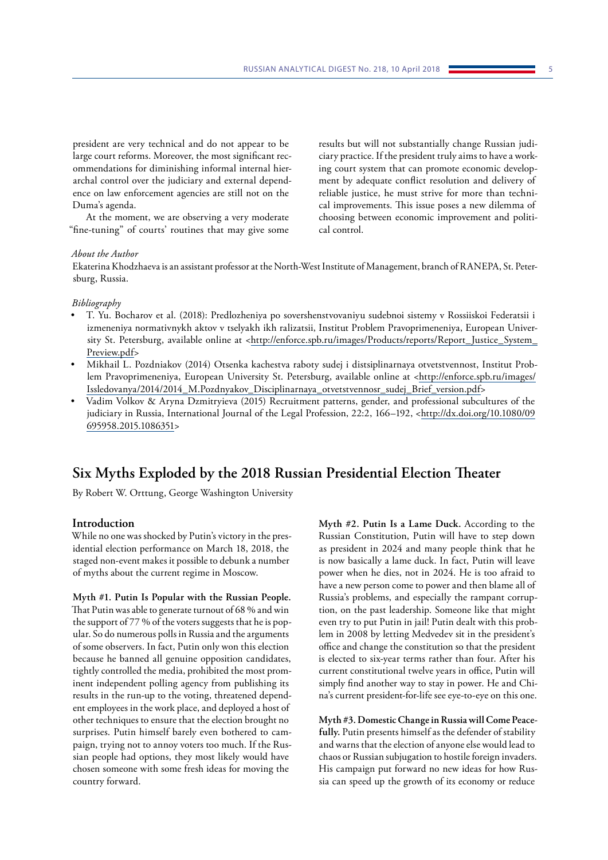<span id="page-5-0"></span>president are very technical and do not appear to be large court reforms. Moreover, the most significant recommendations for diminishing informal internal hierarchal control over the judiciary and external dependence on law enforcement agencies are still not on the Duma's agenda.

At the moment, we are observing a very moderate "fine-tuning" of courts' routines that may give some

#### *About the Author*

cal improvements. This issue poses a new dilemma of choosing between economic improvement and political control.

results but will not substantially change Russian judiciary practice. If the president truly aims to have a working court system that can promote economic development by adequate conflict resolution and delivery of reliable justice, he must strive for more than techni-

Ekaterina Khodzhaeva is an assistant professor at the North-West Institute of Management, branch of RANEPA, St. Petersburg, Russia.

#### *Bibliography*

- T. Yu. Bocharov et al. (2018): Predlozheniya po sovershenstvovaniyu sudebnoi sistemy v Rossiiskoi Federatsii i izmeneniya normativnykh aktov v tselyakh ikh ralizatsii, Institut Problem Pravoprimeneniya, European University St. Petersburg, available online at <[http://enforce.spb.ru/images/Products/reports/Report\\_Justice\\_System\\_](http://enforce.spb.ru/images/Products/reports/Report_Justice_System_Preview.pdf) [Preview.pdf](http://enforce.spb.ru/images/Products/reports/Report_Justice_System_Preview.pdf)>
- Mikhail L. Pozdniakov (2014) Otsenka kachestva raboty sudej i distsiplinarnaya otvetstvennost, Institut Problem Pravoprimeneniya, European University St. Petersburg, available online at [<http://enforce.spb.ru/images/](http://enforce.spb.ru/images/Issledovanya/2014/2014_M.Pozdnyakov_Disciplinarnaya_otvetstvennosr_sudej_Brief_version.pdf)) [Issledovanya/2014/2014\\_M.Pozdnyakov\\_Disciplinarnaya\\_otvetstvennosr\\_sudej\\_Brief\\_version.pdf>](http://enforce.spb.ru/images/Issledovanya/2014/2014_M.Pozdnyakov_Disciplinarnaya_otvetstvennosr_sudej_Brief_version.pdf))
- Vadim Volkov & Aryna Dzmitryieva (2015) Recruitment patterns, gender, and professional subcultures of the judiciary in Russia, International Journal of the Legal Profession, 22:2, 166–192, [<http://dx.doi.org/10.1080/09](http://dx.doi.org/10.1080/09695958.2015.1086351) [695958.2015.1086351>](http://dx.doi.org/10.1080/09695958.2015.1086351)

# **Six Myths Exploded by the 2018 Russian Presidential Election Theater**

By Robert W. Orttung, George Washington University

# **Introduction**

While no one was shocked by Putin's victory in the presidential election performance on March 18, 2018, the staged non-event makes it possible to debunk a number of myths about the current regime in Moscow.

**Myth #1. Putin Is Popular with the Russian People.**  That Putin was able to generate turnout of 68 % and win the support of 77 % of the voters suggests that he is popular. So do numerous polls in Russia and the arguments of some observers. In fact, Putin only won this election because he banned all genuine opposition candidates, tightly controlled the media, prohibited the most prominent independent polling agency from publishing its results in the run-up to the voting, threatened dependent employees in the work place, and deployed a host of other techniques to ensure that the election brought no surprises. Putin himself barely even bothered to campaign, trying not to annoy voters too much. If the Russian people had options, they most likely would have chosen someone with some fresh ideas for moving the country forward.

**Myth #2. Putin Is a Lame Duck.** According to the Russian Constitution, Putin will have to step down as president in 2024 and many people think that he is now basically a lame duck. In fact, Putin will leave power when he dies, not in 2024. He is too afraid to have a new person come to power and then blame all of Russia's problems, and especially the rampant corruption, on the past leadership. Someone like that might even try to put Putin in jail! Putin dealt with this problem in 2008 by letting Medvedev sit in the president's office and change the constitution so that the president is elected to six-year terms rather than four. After his current constitutional twelve years in office, Putin will simply find another way to stay in power. He and China's current president-for-life see eye-to-eye on this one.

**Myth #3. Domestic Change in Russia will Come Peacefully.** Putin presents himself as the defender of stability and warns that the election of anyone else would lead to chaos or Russian subjugation to hostile foreign invaders. His campaign put forward no new ideas for how Russia can speed up the growth of its economy or reduce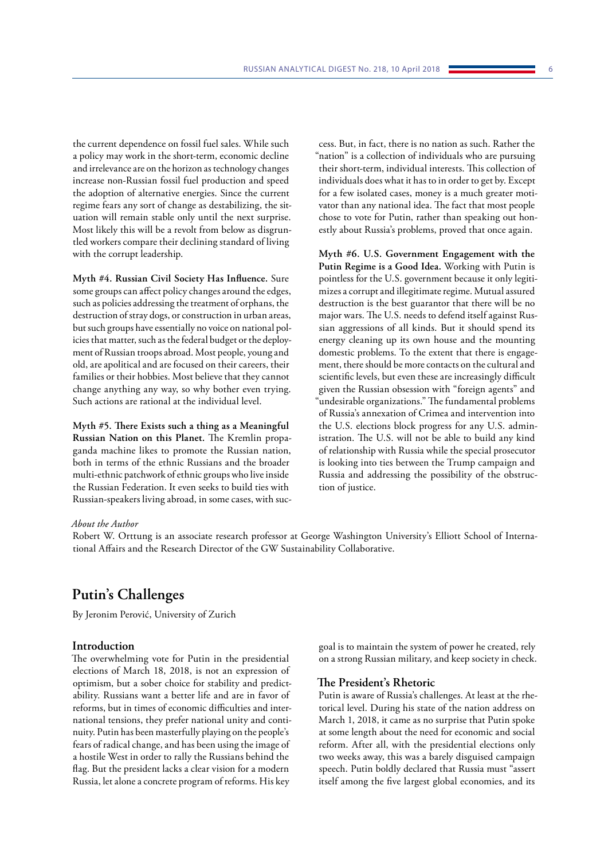<span id="page-6-0"></span>the current dependence on fossil fuel sales. While such a policy may work in the short-term, economic decline and irrelevance are on the horizon as technology changes increase non-Russian fossil fuel production and speed the adoption of alternative energies. Since the current regime fears any sort of change as destabilizing, the situation will remain stable only until the next surprise. Most likely this will be a revolt from below as disgruntled workers compare their declining standard of living with the corrupt leadership.

**Myth #4. Russian Civil Society Has Influence.** Sure some groups can affect policy changes around the edges, such as policies addressing the treatment of orphans, the destruction of stray dogs, or construction in urban areas, but such groups have essentially no voice on national policies that matter, such as the federal budget or the deployment of Russian troops abroad. Most people, young and old, are apolitical and are focused on their careers, their families or their hobbies. Most believe that they cannot change anything any way, so why bother even trying. Such actions are rational at the individual level.

**Myth #5. There Exists such a thing as a Meaningful Russian Nation on this Planet.** The Kremlin propaganda machine likes to promote the Russian nation, both in terms of the ethnic Russians and the broader multi-ethnic patchwork of ethnic groups who live inside the Russian Federation. It even seeks to build ties with Russian-speakers living abroad, in some cases, with suc-

cess. But, in fact, there is no nation as such. Rather the "nation" is a collection of individuals who are pursuing their short-term, individual interests. This collection of individuals does what it has to in order to get by. Except for a few isolated cases, money is a much greater motivator than any national idea. The fact that most people chose to vote for Putin, rather than speaking out honestly about Russia's problems, proved that once again.

**Myth #6. U.S. Government Engagement with the Putin Regime is a Good Idea.** Working with Putin is pointless for the U.S. government because it only legitimizes a corrupt and illegitimate regime. Mutual assured destruction is the best guarantor that there will be no major wars. The U.S. needs to defend itself against Russian aggressions of all kinds. But it should spend its energy cleaning up its own house and the mounting domestic problems. To the extent that there is engagement, there should be more contacts on the cultural and scientific levels, but even these are increasingly difficult given the Russian obsession with "foreign agents" and "undesirable organizations." The fundamental problems of Russia's annexation of Crimea and intervention into the U.S. elections block progress for any U.S. administration. The U.S. will not be able to build any kind of relationship with Russia while the special prosecutor is looking into ties between the Trump campaign and Russia and addressing the possibility of the obstruction of justice.

#### *About the Author*

Robert W. Orttung is an associate research professor at George Washington University's Elliott School of International Affairs and the Research Director of the GW Sustainability Collaborative.

# **Putin's Challenges**

By Jeronim Perović, University of Zurich

# **Introduction**

The overwhelming vote for Putin in the presidential elections of March 18, 2018, is not an expression of optimism, but a sober choice for stability and predictability. Russians want a better life and are in favor of reforms, but in times of economic difficulties and international tensions, they prefer national unity and continuity. Putin has been masterfully playing on the people's fears of radical change, and has been using the image of a hostile West in order to rally the Russians behind the flag. But the president lacks a clear vision for a modern Russia, let alone a concrete program of reforms. His key

goal is to maintain the system of power he created, rely on a strong Russian military, and keep society in check.

# **The President's Rhetoric**

Putin is aware of Russia's challenges. At least at the rhetorical level. During his state of the nation address on March 1, 2018, it came as no surprise that Putin spoke at some length about the need for economic and social reform. After all, with the presidential elections only two weeks away, this was a barely disguised campaign speech. Putin boldly declared that Russia must "assert itself among the five largest global economies, and its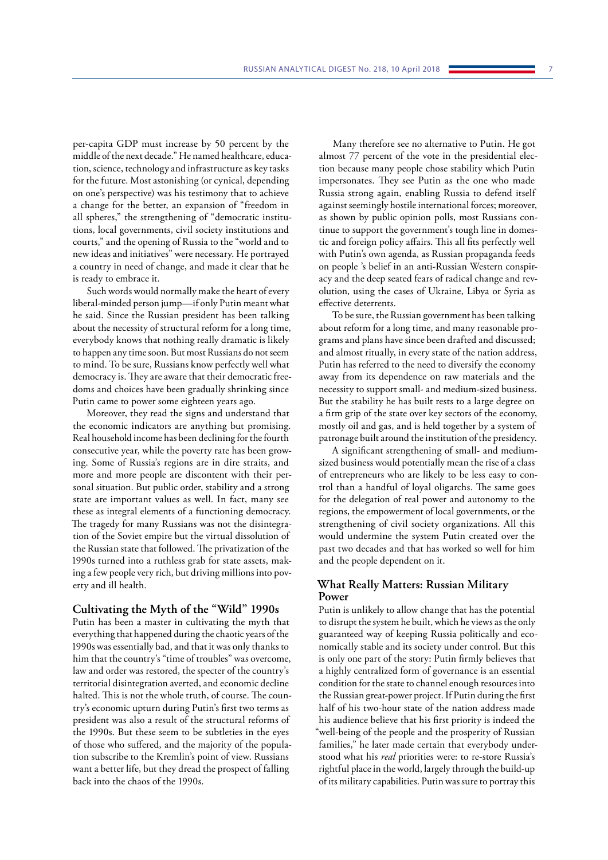per-capita GDP must increase by 50 percent by the middle of the next decade." He named healthcare, education, science, technology and infrastructure as key tasks for the future. Most astonishing (or cynical, depending on one's perspective) was his testimony that to achieve a change for the better, an expansion of "freedom in all spheres," the strengthening of "democratic institutions, local governments, civil society institutions and courts," and the opening of Russia to the "world and to new ideas and initiatives" were necessary. He portrayed a country in need of change, and made it clear that he is ready to embrace it.

Such words would normally make the heart of every liberal-minded person jump—if only Putin meant what he said. Since the Russian president has been talking about the necessity of structural reform for a long time, everybody knows that nothing really dramatic is likely to happen any time soon. But most Russians do not seem to mind. To be sure, Russians know perfectly well what democracy is. They are aware that their democratic freedoms and choices have been gradually shrinking since Putin came to power some eighteen years ago.

Moreover, they read the signs and understand that the economic indicators are anything but promising. Real household income has been declining for the fourth consecutive year, while the poverty rate has been growing. Some of Russia's regions are in dire straits, and more and more people are discontent with their personal situation. But public order, stability and a strong state are important values as well. In fact, many see these as integral elements of a functioning democracy. The tragedy for many Russians was not the disintegration of the Soviet empire but the virtual dissolution of the Russian state that followed. The privatization of the 1990s turned into a ruthless grab for state assets, making a few people very rich, but driving millions into poverty and ill health.

# **Cultivating the Myth of the "Wild" 1990s**

Putin has been a master in cultivating the myth that everything that happened during the chaotic years of the 1990s was essentially bad, and that it was only thanks to him that the country's "time of troubles" was overcome, law and order was restored, the specter of the country's territorial disintegration averted, and economic decline halted. This is not the whole truth, of course. The country's economic upturn during Putin's first two terms as president was also a result of the structural reforms of the 1990s. But these seem to be subtleties in the eyes of those who suffered, and the majority of the population subscribe to the Kremlin's point of view. Russians want a better life, but they dread the prospect of falling back into the chaos of the 1990s.

Many therefore see no alternative to Putin. He got almost 77 percent of the vote in the presidential election because many people chose stability which Putin impersonates. They see Putin as the one who made Russia strong again, enabling Russia to defend itself against seemingly hostile international forces; moreover, as shown by public opinion polls, most Russians continue to support the government's tough line in domestic and foreign policy affairs. This all fits perfectly well with Putin's own agenda, as Russian propaganda feeds on people 's belief in an anti-Russian Western conspiracy and the deep seated fears of radical change and revolution, using the cases of Ukraine, Libya or Syria as effective deterrents.

To be sure, the Russian government has been talking about reform for a long time, and many reasonable programs and plans have since been drafted and discussed; and almost ritually, in every state of the nation address, Putin has referred to the need to diversify the economy away from its dependence on raw materials and the necessity to support small- and medium-sized business. But the stability he has built rests to a large degree on a firm grip of the state over key sectors of the economy, mostly oil and gas, and is held together by a system of patronage built around the institution of the presidency.

A significant strengthening of small- and mediumsized business would potentially mean the rise of a class of entrepreneurs who are likely to be less easy to control than a handful of loyal oligarchs. The same goes for the delegation of real power and autonomy to the regions, the empowerment of local governments, or the strengthening of civil society organizations. All this would undermine the system Putin created over the past two decades and that has worked so well for him and the people dependent on it.

# **What Really Matters: Russian Military Power**

Putin is unlikely to allow change that has the potential to disrupt the system he built, which he views as the only guaranteed way of keeping Russia politically and economically stable and its society under control. But this is only one part of the story: Putin firmly believes that a highly centralized form of governance is an essential condition for the state to channel enough resources into the Russian great-power project. If Putin during the first half of his two-hour state of the nation address made his audience believe that his first priority is indeed the "well-being of the people and the prosperity of Russian families," he later made certain that everybody understood what his *real* priorities were: to re-store Russia's rightful place in the world, largely through the build-up of its military capabilities. Putin was sure to portray this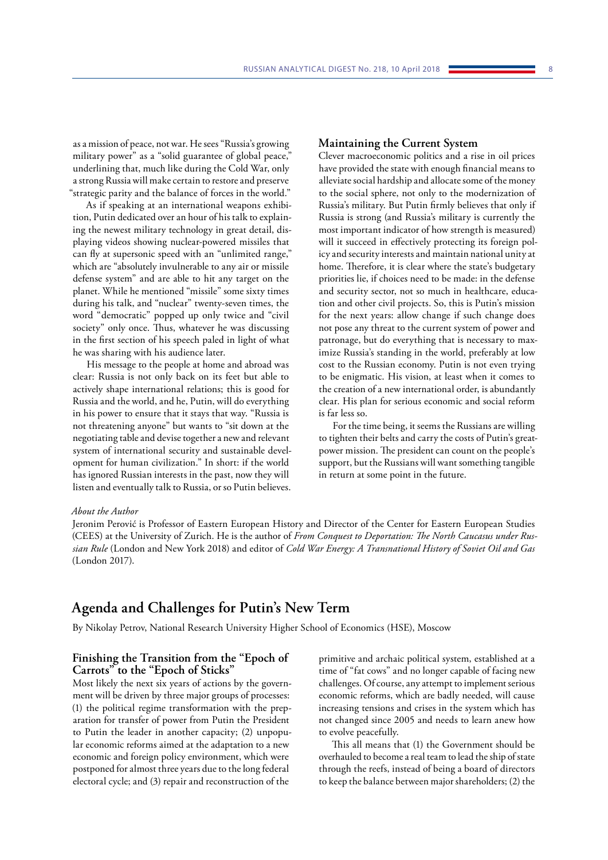<span id="page-8-0"></span>as a mission of peace, not war. He sees "Russia's growing military power" as a "solid guarantee of global peace," underlining that, much like during the Cold War, only a strong Russia will make certain to restore and preserve "strategic parity and the balance of forces in the world."

As if speaking at an international weapons exhibition, Putin dedicated over an hour of his talk to explaining the newest military technology in great detail, displaying videos showing nuclear-powered missiles that can fly at supersonic speed with an "unlimited range," which are "absolutely invulnerable to any air or missile defense system" and are able to hit any target on the planet. While he mentioned "missile" some sixty times during his talk, and "nuclear" twenty-seven times, the word "democratic" popped up only twice and "civil society" only once. Thus, whatever he was discussing in the first section of his speech paled in light of what he was sharing with his audience later.

His message to the people at home and abroad was clear: Russia is not only back on its feet but able to actively shape international relations; this is good for Russia and the world, and he, Putin, will do everything in his power to ensure that it stays that way. "Russia is not threatening anyone" but wants to "sit down at the negotiating table and devise together a new and relevant system of international security and sustainable development for human civilization." In short: if the world has ignored Russian interests in the past, now they will listen and eventually talk to Russia, or so Putin believes.

#### **Maintaining the Current System**

Clever macroeconomic politics and a rise in oil prices have provided the state with enough financial means to alleviate social hardship and allocate some of the money to the social sphere, not only to the modernization of Russia's military. But Putin firmly believes that only if Russia is strong (and Russia's military is currently the most important indicator of how strength is measured) will it succeed in effectively protecting its foreign policy and security interests and maintain national unity at home. Therefore, it is clear where the state's budgetary priorities lie, if choices need to be made: in the defense and security sector, not so much in healthcare, education and other civil projects. So, this is Putin's mission for the next years: allow change if such change does not pose any threat to the current system of power and patronage, but do everything that is necessary to maximize Russia's standing in the world, preferably at low cost to the Russian economy. Putin is not even trying to be enigmatic. His vision, at least when it comes to the creation of a new international order, is abundantly clear. His plan for serious economic and social reform is far less so.

For the time being, it seems the Russians are willing to tighten their belts and carry the costs of Putin's greatpower mission. The president can count on the people's support, but the Russians will want something tangible in return at some point in the future.

#### *About the Author*

Jeronim Perović is Professor of Eastern European History and Director of the Center for Eastern European Studies (CEES) at the University of Zurich. He is the author of *From Conquest to Deportation: The North Caucasus under Russian Rule* (London and New York 2018) and editor of *Cold War Energy: A Transnational History of Soviet Oil and Gas* (London 2017).

# **Agenda and Challenges for Putin's New Term**

By Nikolay Petrov, National Research University Higher School of Economics (HSE), Moscow

# **Finishing the Transition from the "Epoch of Carrots" to the "Epoch of Sticks"**

Most likely the next six years of actions by the government will be driven by three major groups of processes: (1) the political regime transformation with the preparation for transfer of power from Putin the President to Putin the leader in another capacity; (2) unpopular economic reforms aimed at the adaptation to a new economic and foreign policy environment, which were postponed for almost three years due to the long federal electoral cycle; and (3) repair and reconstruction of the

primitive and archaic political system, established at a time of "fat cows" and no longer capable of facing new challenges. Of course, any attempt to implement serious economic reforms, which are badly needed, will cause increasing tensions and crises in the system which has not changed since 2005 and needs to learn anew how to evolve peacefully.

This all means that (1) the Government should be overhauled to become a real team to lead the ship of state through the reefs, instead of being a board of directors to keep the balance between major shareholders; (2) the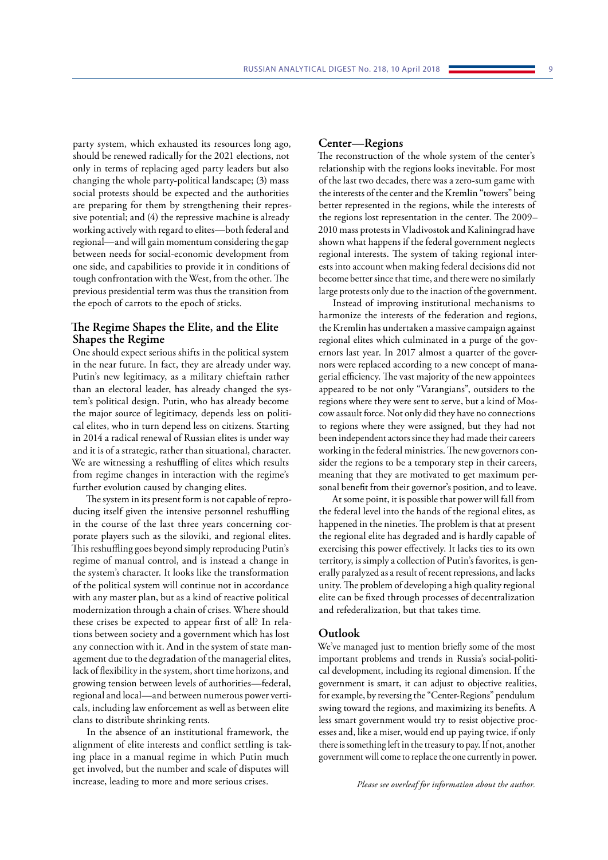party system, which exhausted its resources long ago, should be renewed radically for the 2021 elections, not only in terms of replacing aged party leaders but also changing the whole party-political landscape; (3) mass social protests should be expected and the authorities are preparing for them by strengthening their repressive potential; and (4) the repressive machine is already working actively with regard to elites—both federal and regional—and will gain momentum considering the gap between needs for social-economic development from one side, and capabilities to provide it in conditions of tough confrontation with the West, from the other. The previous presidential term was thus the transition from the epoch of carrots to the epoch of sticks.

# **The Regime Shapes the Elite, and the Elite Shapes the Regime**

One should expect serious shifts in the political system in the near future. In fact, they are already under way. Putin's new legitimacy, as a military chieftain rather than an electoral leader, has already changed the system's political design. Putin, who has already become the major source of legitimacy, depends less on political elites, who in turn depend less on citizens. Starting in 2014 a radical renewal of Russian elites is under way and it is of a strategic, rather than situational, character. We are witnessing a reshuffling of elites which results from regime changes in interaction with the regime's further evolution caused by changing elites.

The system in its present form is not capable of reproducing itself given the intensive personnel reshuffling in the course of the last three years concerning corporate players such as the siloviki, and regional elites. This reshuffling goes beyond simply reproducing Putin's regime of manual control, and is instead a change in the system's character. It looks like the transformation of the political system will continue not in accordance with any master plan, but as a kind of reactive political modernization through a chain of crises. Where should these crises be expected to appear first of all? In relations between society and a government which has lost any connection with it. And in the system of state management due to the degradation of the managerial elites, lack of flexibility in the system, short time horizons, and growing tension between levels of authorities—federal, regional and local—and between numerous power verticals, including law enforcement as well as between elite clans to distribute shrinking rents.

In the absence of an institutional framework, the alignment of elite interests and conflict settling is taking place in a manual regime in which Putin much get involved, but the number and scale of disputes will increase, leading to more and more serious crises.

#### **Center—Regions**

The reconstruction of the whole system of the center's relationship with the regions looks inevitable. For most of the last two decades, there was a zero-sum game with the interests of the center and the Kremlin "towers" being better represented in the regions, while the interests of the regions lost representation in the center. The 2009– 2010 mass protests in Vladivostok and Kaliningrad have shown what happens if the federal government neglects regional interests. The system of taking regional interests into account when making federal decisions did not become better since that time, and there were no similarly large protests only due to the inaction of the government.

Instead of improving institutional mechanisms to harmonize the interests of the federation and regions, the Kremlin has undertaken a massive campaign against regional elites which culminated in a purge of the governors last year. In 2017 almost a quarter of the governors were replaced according to a new concept of managerial efficiency. The vast majority of the new appointees appeared to be not only "Varangians", outsiders to the regions where they were sent to serve, but a kind of Moscow assault force. Not only did they have no connections to regions where they were assigned, but they had not been independent actors since they had made their careers working in the federal ministries. The new governors consider the regions to be a temporary step in their careers, meaning that they are motivated to get maximum personal benefit from their governor's position, and to leave.

At some point, it is possible that power will fall from the federal level into the hands of the regional elites, as happened in the nineties. The problem is that at present the regional elite has degraded and is hardly capable of exercising this power effectively. It lacks ties to its own territory, is simply a collection of Putin's favorites, is generally paralyzed as a result of recent repressions, and lacks unity. The problem of developing a high quality regional elite can be fixed through processes of decentralization and refederalization, but that takes time.

# **Outlook**

We've managed just to mention briefly some of the most important problems and trends in Russia's social-political development, including its regional dimension. If the government is smart, it can adjust to objective realities, for example, by reversing the "Center-Regions" pendulum swing toward the regions, and maximizing its benefits. A less smart government would try to resist objective processes and, like a miser, would end up paying twice, if only there is something left in the treasury to pay. If not, another government will come to replace the one currently in power.

*Please see overleaf for information about the author.*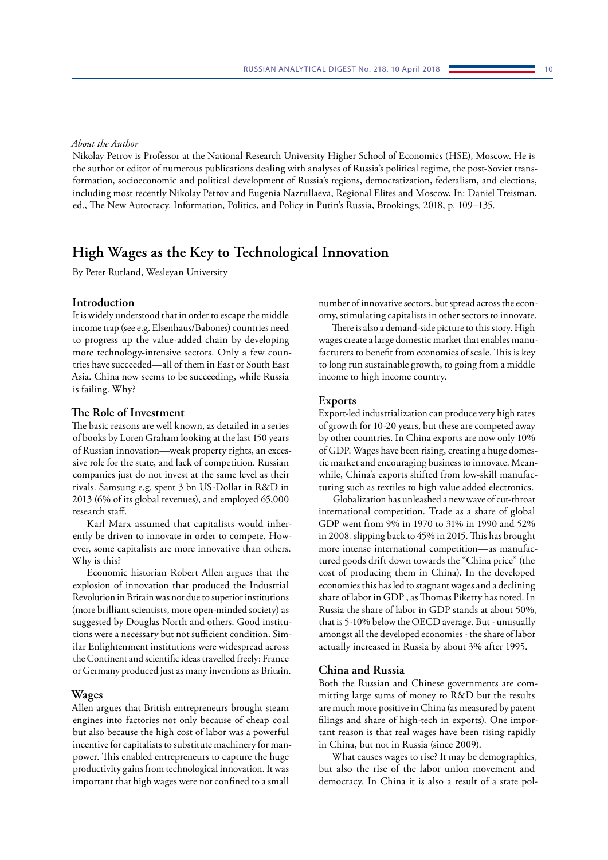## <span id="page-10-0"></span>*About the Author*

Nikolay Petrov is Professor at the National Research University Higher School of Economics (HSE), Moscow. He is the author or editor of numerous publications dealing with analyses of Russia's political regime, the post-Soviet transformation, socioeconomic and political development of Russia's regions, democratization, federalism, and elections, including most recently Nikolay Petrov and Eugenia Nazrullaeva, Regional Elites and Moscow, In: Daniel Treisman, ed., The New Autocracy. Information, Politics, and Policy in Putin's Russia, Brookings, 2018, p. 109–135.

# **High Wages as the Key to Technological Innovation**

By Peter Rutland, Wesleyan University

### **Introduction**

It is widely understood that in order to escape the middle income trap (see e.g. Elsenhaus/Babones) countries need to progress up the value-added chain by developing more technology-intensive sectors. Only a few countries have succeeded—all of them in East or South East Asia. China now seems to be succeeding, while Russia is failing. Why?

# **The Role of Investment**

The basic reasons are well known, as detailed in a series of books by Loren Graham looking at the last 150 years of Russian innovation—weak property rights, an excessive role for the state, and lack of competition. Russian companies just do not invest at the same level as their rivals. Samsung e.g. spent 3 bn US-Dollar in R&D in 2013 (6% of its global revenues), and employed 65,000 research staff.

Karl Marx assumed that capitalists would inherently be driven to innovate in order to compete. However, some capitalists are more innovative than others. Why is this?

Economic historian Robert Allen argues that the explosion of innovation that produced the Industrial Revolution in Britain was not due to superior institutions (more brilliant scientists, more open-minded society) as suggested by Douglas North and others. Good institutions were a necessary but not sufficient condition. Similar Enlightenment institutions were widespread across the Continent and scientific ideas travelled freely: France or Germany produced just as many inventions as Britain.

#### **Wages**

Allen argues that British entrepreneurs brought steam engines into factories not only because of cheap coal but also because the high cost of labor was a powerful incentive for capitalists to substitute machinery for manpower. This enabled entrepreneurs to capture the huge productivity gains from technological innovation. It was important that high wages were not confined to a small

number of innovative sectors, but spread across the economy, stimulating capitalists in other sectors to innovate.

There is also a demand-side picture to this story. High wages create a large domestic market that enables manufacturers to benefit from economies of scale. This is key to long run sustainable growth, to going from a middle income to high income country.

#### **Exports**

Export-led industrialization can produce very high rates of growth for 10-20 years, but these are competed away by other countries. In China exports are now only 10% of GDP. Wages have been rising, creating a huge domestic market and encouraging business to innovate. Meanwhile, China's exports shifted from low-skill manufacturing such as textiles to high value added electronics.

Globalization has unleashed a new wave of cut-throat international competition. Trade as a share of global GDP went from 9% in 1970 to 31% in 1990 and 52% in 2008, slipping back to 45% in 2015. This has brought more intense international competition—as manufactured goods drift down towards the "China price" (the cost of producing them in China). In the developed economies this has led to stagnant wages and a declining share of labor in GDP , as Thomas Piketty has noted. In Russia the share of labor in GDP stands at about 50%, that is 5-10% below the OECD average. But - unusually amongst all the developed economies - the share of labor actually increased in Russia by about 3% after 1995.

#### **China and Russia**

Both the Russian and Chinese governments are committing large sums of money to R&D but the results are much more positive in China (as measured by patent filings and share of high-tech in exports). One important reason is that real wages have been rising rapidly in China, but not in Russia (since 2009).

What causes wages to rise? It may be demographics, but also the rise of the labor union movement and democracy. In China it is also a result of a state pol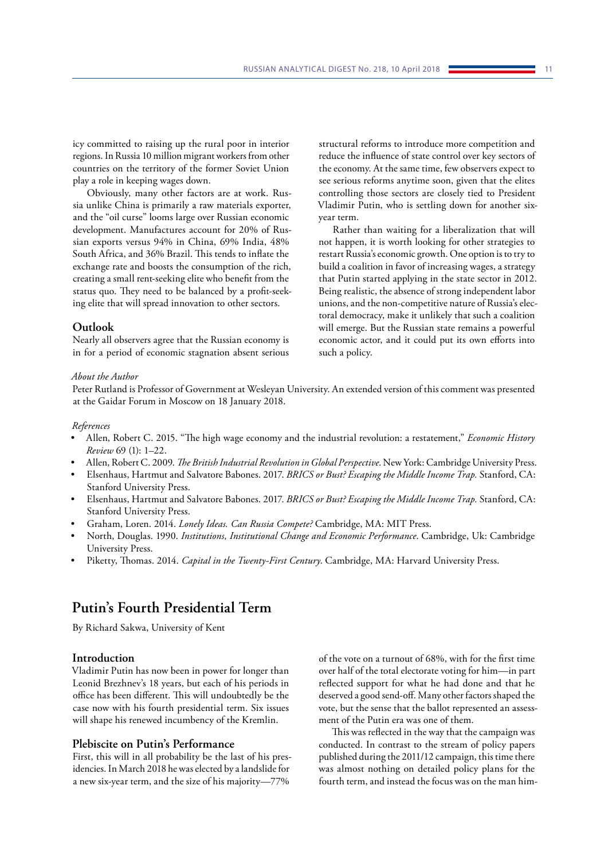<span id="page-11-0"></span>icy committed to raising up the rural poor in interior regions. In Russia 10 million migrant workers from other countries on the territory of the former Soviet Union play a role in keeping wages down.

Obviously, many other factors are at work. Russia unlike China is primarily a raw materials exporter, and the "oil curse" looms large over Russian economic development. Manufactures account for 20% of Russian exports versus 94% in China, 69% India, 48% South Africa, and 36% Brazil. This tends to inflate the exchange rate and boosts the consumption of the rich, creating a small rent-seeking elite who benefit from the status quo. They need to be balanced by a profit-seeking elite that will spread innovation to other sectors.

# **Outlook**

Nearly all observers agree that the Russian economy is in for a period of economic stagnation absent serious

structural reforms to introduce more competition and reduce the influence of state control over key sectors of the economy. At the same time, few observers expect to see serious reforms anytime soon, given that the elites controlling those sectors are closely tied to President Vladimir Putin, who is settling down for another sixyear term.

Rather than waiting for a liberalization that will not happen, it is worth looking for other strategies to restart Russia's economic growth. One option is to try to build a coalition in favor of increasing wages, a strategy that Putin started applying in the state sector in 2012. Being realistic, the absence of strong independent labor unions, and the non-competitive nature of Russia's electoral democracy, make it unlikely that such a coalition will emerge. But the Russian state remains a powerful economic actor, and it could put its own efforts into such a policy.

# *About the Author*

Peter Rutland is Professor of Government at Wesleyan University. An extended version of this comment was presented at the Gaidar Forum in Moscow on 18 January 2018.

#### *References*

- Allen, Robert C. 2015. "The high wage economy and the industrial revolution: a restatement," *Economic History Review* 69 (1): 1–22.
- Allen, Robert C. 2009. *The British Industrial Revolution in Global Perspective*. New York: Cambridge University Press.
- Elsenhaus, Hartmut and Salvatore Babones. 2017. *BRICS or Bust? Escaping the Middle Income Trap.* Stanford, CA: Stanford University Press.
- Elsenhaus, Hartmut and Salvatore Babones. 2017. *BRICS or Bust? Escaping the Middle Income Trap.* Stanford, CA: Stanford University Press.
- Graham, Loren. 2014. *Lonely Ideas. Can Russia Compete?* Cambridge, MA: MIT Press.
- North, Douglas. 1990. *Institutions, Institutional Change and Economic Performance*. Cambridge, Uk: Cambridge University Press.
- Piketty, Thomas. 2014. *Capital in the Twenty-First Century*. Cambridge, MA: Harvard University Press.

# **Putin's Fourth Presidential Term**

By Richard Sakwa, University of Kent

# **Introduction**

Vladimir Putin has now been in power for longer than Leonid Brezhnev's 18 years, but each of his periods in office has been different. This will undoubtedly be the case now with his fourth presidential term. Six issues will shape his renewed incumbency of the Kremlin.

# **Plebiscite on Putin's Performance**

First, this will in all probability be the last of his presidencies. In March 2018 he was elected by a landslide for a new six-year term, and the size of his majority—77%

of the vote on a turnout of 68%, with for the first time over half of the total electorate voting for him—in part reflected support for what he had done and that he deserved a good send-off. Many other factors shaped the vote, but the sense that the ballot represented an assessment of the Putin era was one of them.

This was reflected in the way that the campaign was conducted. In contrast to the stream of policy papers published during the 2011/12 campaign, this time there was almost nothing on detailed policy plans for the fourth term, and instead the focus was on the man him-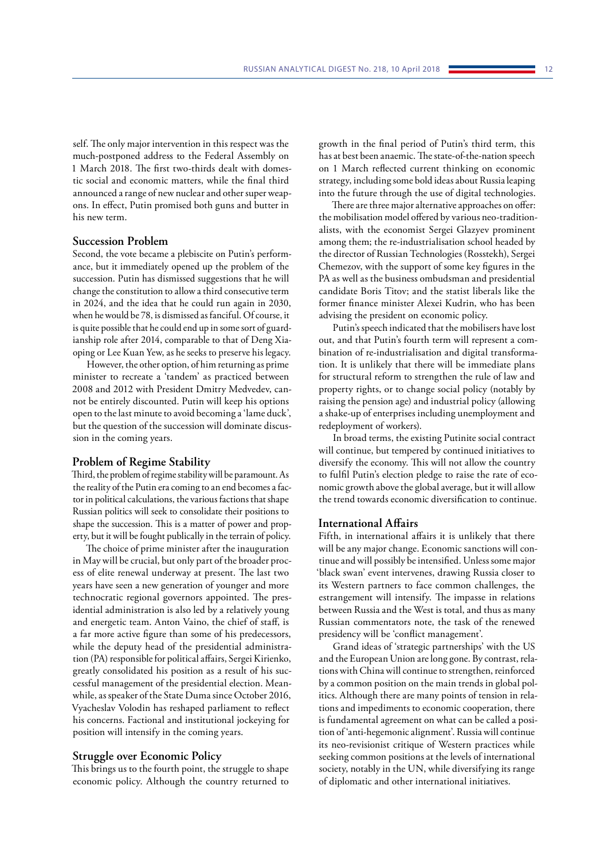self. The only major intervention in this respect was the much-postponed address to the Federal Assembly on 1 March 2018. The first two-thirds dealt with domestic social and economic matters, while the final third announced a range of new nuclear and other super weapons. In effect, Putin promised both guns and butter in his new term.

# **Succession Problem**

Second, the vote became a plebiscite on Putin's performance, but it immediately opened up the problem of the succession. Putin has dismissed suggestions that he will change the constitution to allow a third consecutive term in 2024, and the idea that he could run again in 2030, when he would be 78, is dismissed as fanciful. Of course, it is quite possible that he could end up in some sort of guardianship role after 2014, comparable to that of Deng Xiaoping or Lee Kuan Yew, as he seeks to preserve his legacy.

However, the other option, of him returning as prime minister to recreate a 'tandem' as practiced between 2008 and 2012 with President Dmitry Medvedev, cannot be entirely discounted. Putin will keep his options open to the last minute to avoid becoming a 'lame duck', but the question of the succession will dominate discussion in the coming years.

# **Problem of Regime Stability**

Third, the problem of regime stability will be paramount. As the reality of the Putin era coming to an end becomes a factor in political calculations, the various factions that shape Russian politics will seek to consolidate their positions to shape the succession. This is a matter of power and property, but it will be fought publically in the terrain of policy.

The choice of prime minister after the inauguration in May will be crucial, but only part of the broader process of elite renewal underway at present. The last two years have seen a new generation of younger and more technocratic regional governors appointed. The presidential administration is also led by a relatively young and energetic team. Anton Vaino, the chief of staff, is a far more active figure than some of his predecessors, while the deputy head of the presidential administration (PA) responsible for political affairs, Sergei Kirienko, greatly consolidated his position as a result of his successful management of the presidential election. Meanwhile, as speaker of the State Duma since October 2016, Vyacheslav Volodin has reshaped parliament to reflect his concerns. Factional and institutional jockeying for position will intensify in the coming years.

#### **Struggle over Economic Policy**

This brings us to the fourth point, the struggle to shape economic policy. Although the country returned to

growth in the final period of Putin's third term, this has at best been anaemic. The state-of-the-nation speech on 1 March reflected current thinking on economic strategy, including some bold ideas about Russia leaping into the future through the use of digital technologies.

There are three major alternative approaches on offer: the mobilisation model offered by various neo-traditionalists, with the economist Sergei Glazyev prominent among them; the re-industrialisation school headed by the director of Russian Technologies (Rosstekh), Sergei Chemezov, with the support of some key figures in the PA as well as the business ombudsman and presidential candidate Boris Titov; and the statist liberals like the former finance minister Alexei Kudrin, who has been advising the president on economic policy.

Putin's speech indicated that the mobilisers have lost out, and that Putin's fourth term will represent a combination of re-industrialisation and digital transformation. It is unlikely that there will be immediate plans for structural reform to strengthen the rule of law and property rights, or to change social policy (notably by raising the pension age) and industrial policy (allowing a shake-up of enterprises including unemployment and redeployment of workers).

In broad terms, the existing Putinite social contract will continue, but tempered by continued initiatives to diversify the economy. This will not allow the country to fulfil Putin's election pledge to raise the rate of economic growth above the global average, but it will allow the trend towards economic diversification to continue.

# **International Affairs**

Fifth, in international affairs it is unlikely that there will be any major change. Economic sanctions will continue and will possibly be intensified. Unless some major 'black swan' event intervenes, drawing Russia closer to its Western partners to face common challenges, the estrangement will intensify. The impasse in relations between Russia and the West is total, and thus as many Russian commentators note, the task of the renewed presidency will be 'conflict management'.

Grand ideas of 'strategic partnerships' with the US and the European Union are long gone. By contrast, relations with China will continue to strengthen, reinforced by a common position on the main trends in global politics. Although there are many points of tension in relations and impediments to economic cooperation, there is fundamental agreement on what can be called a position of 'anti-hegemonic alignment'. Russia will continue its neo-revisionist critique of Western practices while seeking common positions at the levels of international society, notably in the UN, while diversifying its range of diplomatic and other international initiatives.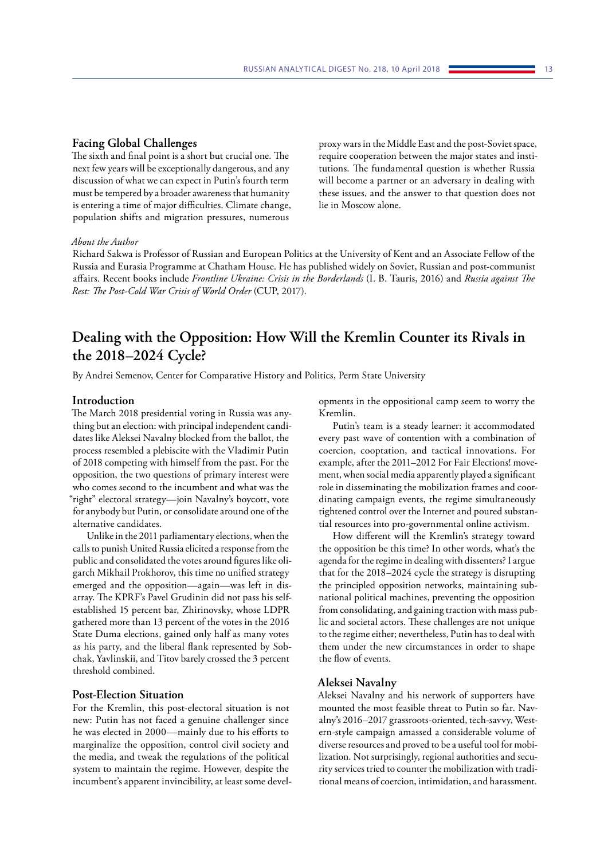<span id="page-13-0"></span>The sixth and final point is a short but crucial one. The next few years will be exceptionally dangerous, and any discussion of what we can expect in Putin's fourth term must be tempered by a broader awareness that humanity is entering a time of major difficulties. Climate change, population shifts and migration pressures, numerous

proxy wars in the Middle East and the post-Soviet space, require cooperation between the major states and institutions. The fundamental question is whether Russia will become a partner or an adversary in dealing with these issues, and the answer to that question does not lie in Moscow alone.

# *About the Author*

Richard Sakwa is Professor of Russian and European Politics at the University of Kent and an Associate Fellow of the Russia and Eurasia Programme at Chatham House. He has published widely on Soviet, Russian and post-communist affairs. Recent books include *Frontline Ukraine: Crisis in the Borderlands* (I. B. Tauris, 2016) and *Russia against The Rest: The Post-Cold War Crisis of World Order* (CUP, 2017).

# **Dealing with the Opposition: How Will the Kremlin Counter its Rivals in the 2018–2024 Cycle?**

By Andrei Semenov, Center for Comparative History and Politics, Perm State University

## **Introduction**

The March 2018 presidential voting in Russia was anything but an election: with principal independent candidates like Aleksei Navalny blocked from the ballot, the process resembled a plebiscite with the Vladimir Putin of 2018 competing with himself from the past. For the opposition, the two questions of primary interest were who comes second to the incumbent and what was the "right" electoral strategy—join Navalny's boycott, vote for anybody but Putin, or consolidate around one of the alternative candidates.

Unlike in the 2011 parliamentary elections, when the calls to punish United Russia elicited a response from the public and consolidated the votes around figures like oligarch Mikhail Prokhorov, this time no unified strategy emerged and the opposition—again—was left in disarray. The KPRF's Pavel Grudinin did not pass his selfestablished 15 percent bar, Zhirinovsky, whose LDPR gathered more than 13 percent of the votes in the 2016 State Duma elections, gained only half as many votes as his party, and the liberal flank represented by Sobchak, Yavlinskii, and Titov barely crossed the 3 percent threshold combined.

# **Post-Election Situation**

For the Kremlin, this post-electoral situation is not new: Putin has not faced a genuine challenger since he was elected in 2000—mainly due to his efforts to marginalize the opposition, control civil society and the media, and tweak the regulations of the political system to maintain the regime. However, despite the incumbent's apparent invincibility, at least some developments in the oppositional camp seem to worry the Kremlin.

Putin's team is a steady learner: it accommodated every past wave of contention with a combination of coercion, cooptation, and tactical innovations. For example, after the 2011–2012 For Fair Elections! movement, when social media apparently played a significant role in disseminating the mobilization frames and coordinating campaign events, the regime simultaneously tightened control over the Internet and poured substantial resources into pro-governmental online activism.

How different will the Kremlin's strategy toward the opposition be this time? In other words, what's the agenda for the regime in dealing with dissenters? I argue that for the 2018–2024 cycle the strategy is disrupting the principled opposition networks, maintaining subnational political machines, preventing the opposition from consolidating, and gaining traction with mass public and societal actors. These challenges are not unique to the regime either; nevertheless, Putin has to deal with them under the new circumstances in order to shape the flow of events.

## **Aleksei Navalny**

Aleksei Navalny and his network of supporters have mounted the most feasible threat to Putin so far. Navalny's 2016–2017 grassroots-oriented, tech-savvy, Western-style campaign amassed a considerable volume of diverse resources and proved to be a useful tool for mobilization. Not surprisingly, regional authorities and security services tried to counter the mobilization with traditional means of coercion, intimidation, and harassment.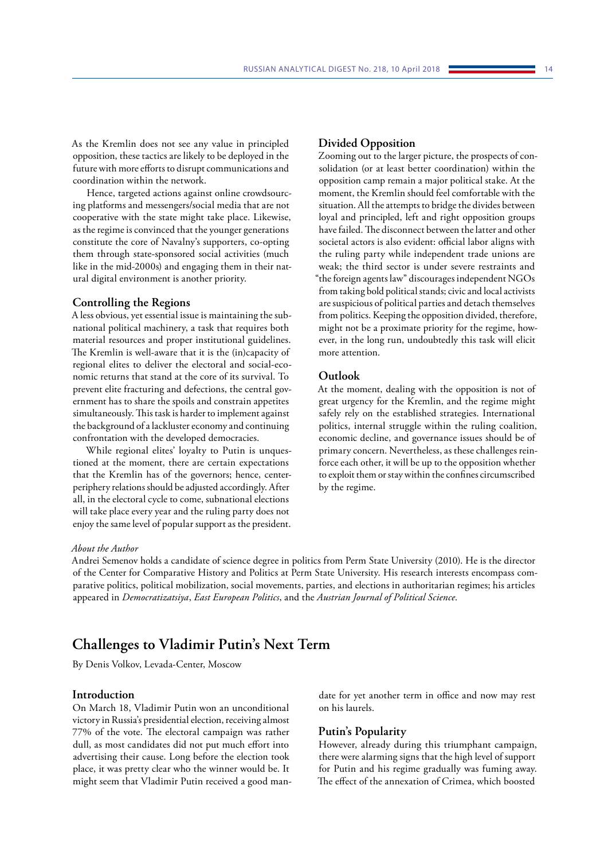<span id="page-14-0"></span>As the Kremlin does not see any value in principled opposition, these tactics are likely to be deployed in the future with more efforts to disrupt communications and coordination within the network.

Hence, targeted actions against online crowdsourcing platforms and messengers/social media that are not cooperative with the state might take place. Likewise, as the regime is convinced that the younger generations constitute the core of Navalny's supporters, co-opting them through state-sponsored social activities (much like in the mid-2000s) and engaging them in their natural digital environment is another priority.

#### **Controlling the Regions**

A less obvious, yet essential issue is maintaining the subnational political machinery, a task that requires both material resources and proper institutional guidelines. The Kremlin is well-aware that it is the (in)capacity of regional elites to deliver the electoral and social-economic returns that stand at the core of its survival. To prevent elite fracturing and defections, the central government has to share the spoils and constrain appetites simultaneously. This task is harder to implement against the background of a lackluster economy and continuing confrontation with the developed democracies.

While regional elites' loyalty to Putin is unquestioned at the moment, there are certain expectations that the Kremlin has of the governors; hence, centerperiphery relations should be adjusted accordingly. After all, in the electoral cycle to come, subnational elections will take place every year and the ruling party does not enjoy the same level of popular support as the president.

# **Divided Opposition**

Zooming out to the larger picture, the prospects of consolidation (or at least better coordination) within the opposition camp remain a major political stake. At the moment, the Kremlin should feel comfortable with the situation. All the attempts to bridge the divides between loyal and principled, left and right opposition groups have failed. The disconnect between the latter and other societal actors is also evident: official labor aligns with the ruling party while independent trade unions are weak; the third sector is under severe restraints and "the foreign agents law" discourages independent NGOs from taking bold political stands; civic and local activists are suspicious of political parties and detach themselves from politics. Keeping the opposition divided, therefore, might not be a proximate priority for the regime, however, in the long run, undoubtedly this task will elicit more attention.

# **Outlook**

At the moment, dealing with the opposition is not of great urgency for the Kremlin, and the regime might safely rely on the established strategies. International politics, internal struggle within the ruling coalition, economic decline, and governance issues should be of primary concern. Nevertheless, as these challenges reinforce each other, it will be up to the opposition whether to exploit them or stay within the confines circumscribed by the regime.

#### *About the Author*

Andrei Semenov holds a candidate of science degree in politics from Perm State University (2010). He is the director of the Center for Comparative History and Politics at Perm State University. His research interests encompass comparative politics, political mobilization, social movements, parties, and elections in authoritarian regimes; his articles appeared in *Democratizatsiya*, *East European Politics*, and the *Austrian Journal of Political Science*.

# **Challenges to Vladimir Putin's Next Term**

By Denis Volkov, Levada-Center, Moscow

## **Introduction**

On March 18, Vladimir Putin won an unconditional victory in Russia's presidential election, receiving almost 77% of the vote. The electoral campaign was rather dull, as most candidates did not put much effort into advertising their cause. Long before the election took place, it was pretty clear who the winner would be. It might seem that Vladimir Putin received a good mandate for yet another term in office and now may rest on his laurels.

# **Putin's Popularity**

However, already during this triumphant campaign, there were alarming signs that the high level of support for Putin and his regime gradually was fuming away. The effect of the annexation of Crimea, which boosted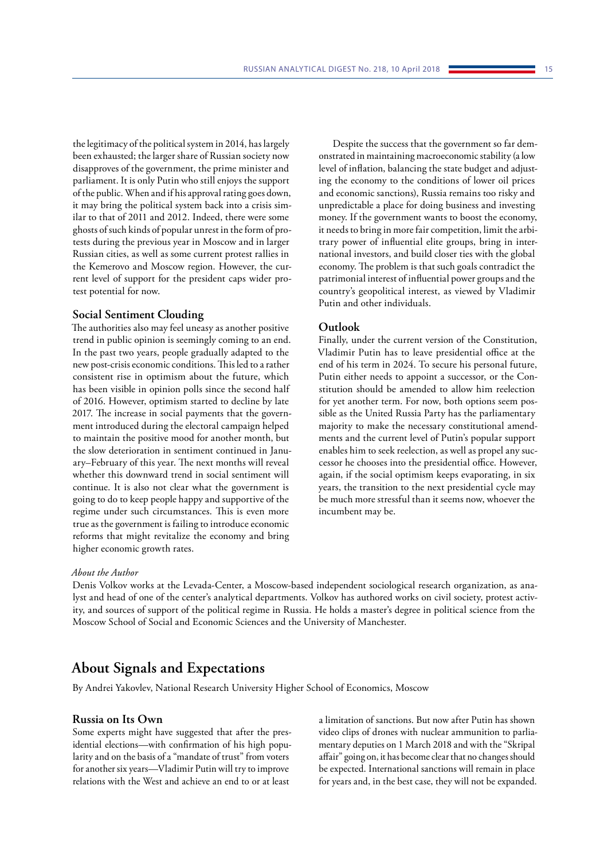<span id="page-15-0"></span>the legitimacy of the political system in 2014, has largely been exhausted; the larger share of Russian society now disapproves of the government, the prime minister and parliament. It is only Putin who still enjoys the support of the public. When and if his approval rating goes down, it may bring the political system back into a crisis similar to that of 2011 and 2012. Indeed, there were some ghosts of such kinds of popular unrest in the form of protests during the previous year in Moscow and in larger Russian cities, as well as some current protest rallies in the Kemerovo and Moscow region. However, the current level of support for the president caps wider protest potential for now.

#### **Social Sentiment Clouding**

The authorities also may feel uneasy as another positive trend in public opinion is seemingly coming to an end. In the past two years, people gradually adapted to the new post-crisis economic conditions. This led to a rather consistent rise in optimism about the future, which has been visible in opinion polls since the second half of 2016. However, optimism started to decline by late 2017. The increase in social payments that the government introduced during the electoral campaign helped to maintain the positive mood for another month, but the slow deterioration in sentiment continued in January–February of this year. The next months will reveal whether this downward trend in social sentiment will continue. It is also not clear what the government is going to do to keep people happy and supportive of the regime under such circumstances. This is even more true as the government is failing to introduce economic reforms that might revitalize the economy and bring higher economic growth rates.

Despite the success that the government so far demonstrated in maintaining macroeconomic stability (a low level of inflation, balancing the state budget and adjusting the economy to the conditions of lower oil prices and economic sanctions), Russia remains too risky and unpredictable a place for doing business and investing money. If the government wants to boost the economy, it needs to bring in more fair competition, limit the arbitrary power of influential elite groups, bring in international investors, and build closer ties with the global economy. The problem is that such goals contradict the patrimonial interest of influential power groups and the country's geopolitical interest, as viewed by Vladimir Putin and other individuals.

# **Outlook**

Finally, under the current version of the Constitution, Vladimir Putin has to leave presidential office at the end of his term in 2024. To secure his personal future, Putin either needs to appoint a successor, or the Constitution should be amended to allow him reelection for yet another term. For now, both options seem possible as the United Russia Party has the parliamentary majority to make the necessary constitutional amendments and the current level of Putin's popular support enables him to seek reelection, as well as propel any successor he chooses into the presidential office. However, again, if the social optimism keeps evaporating, in six years, the transition to the next presidential cycle may be much more stressful than it seems now, whoever the incumbent may be.

#### *About the Author*

Denis Volkov works at the Levada-Center, a Moscow-based independent sociological research organization, as analyst and head of one of the center's analytical departments. Volkov has authored works on civil society, protest activity, and sources of support of the political regime in Russia. He holds a master's degree in political science from the Moscow School of Social and Economic Sciences and the University of Manchester.

# **About Signals and Expectations**

By Andrei Yakovlev, National Research University Higher School of Economics, Moscow

### **Russia on Its Own**

Some experts might have suggested that after the presidential elections—with confirmation of his high popularity and on the basis of a "mandate of trust" from voters for another six years—Vladimir Putin will try to improve relations with the West and achieve an end to or at least

a limitation of sanctions. But now after Putin has shown video clips of drones with nuclear ammunition to parliamentary deputies on 1 March 2018 and with the "Skripal affair" going on, it has become clear that no changes should be expected. International sanctions will remain in place for years and, in the best case, they will not be expanded.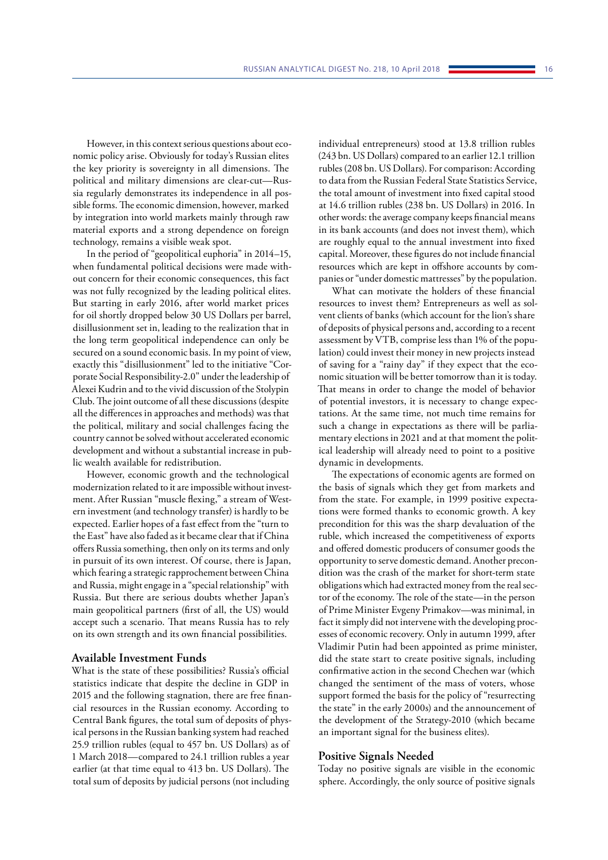However, in this context serious questions about economic policy arise. Obviously for today's Russian elites the key priority is sovereignty in all dimensions. The political and military dimensions are clear-cut—Russia regularly demonstrates its independence in all possible forms. The economic dimension, however, marked by integration into world markets mainly through raw material exports and a strong dependence on foreign technology, remains a visible weak spot.

In the period of "geopolitical euphoria" in 2014–15, when fundamental political decisions were made without concern for their economic consequences, this fact was not fully recognized by the leading political elites. But starting in early 2016, after world market prices for oil shortly dropped below 30 US Dollars per barrel, disillusionment set in, leading to the realization that in the long term geopolitical independence can only be secured on a sound economic basis. In my point of view, exactly this "disillusionment" led to the initiative "Corporate Social Responsibility-2.0" under the leadership of Alexei Kudrin and to the vivid discussion of the Stolypin Club. The joint outcome of all these discussions (despite all the differences in approaches and methods) was that the political, military and social challenges facing the country cannot be solved without accelerated economic development and without a substantial increase in public wealth available for redistribution.

However, economic growth and the technological modernization related to it are impossible without investment. After Russian "muscle flexing," a stream of Western investment (and technology transfer) is hardly to be expected. Earlier hopes of a fast effect from the "turn to the East" have also faded as it became clear that if China offers Russia something, then only on its terms and only in pursuit of its own interest. Of course, there is Japan, which fearing a strategic rapprochement between China and Russia, might engage in a "special relationship" with Russia. But there are serious doubts whether Japan's main geopolitical partners (first of all, the US) would accept such a scenario. That means Russia has to rely on its own strength and its own financial possibilities.

# **Available Investment Funds**

What is the state of these possibilities? Russia's official statistics indicate that despite the decline in GDP in 2015 and the following stagnation, there are free financial resources in the Russian economy. According to Central Bank figures, the total sum of deposits of physical persons in the Russian banking system had reached 25.9 trillion rubles (equal to 457 bn. US Dollars) as of 1 March 2018—compared to 24.1 trillion rubles a year earlier (at that time equal to 413 bn. US Dollars). The total sum of deposits by judicial persons (not including

individual entrepreneurs) stood at 13.8 trillion rubles (243 bn. US Dollars) compared to an earlier 12.1 trillion rubles (208 bn. US Dollars). For comparison: According to data from the Russian Federal State Statistics Service, the total amount of investment into fixed capital stood at 14.6 trillion rubles (238 bn. US Dollars) in 2016. In other words: the average company keeps financial means in its bank accounts (and does not invest them), which are roughly equal to the annual investment into fixed capital. Moreover, these figures do not include financial resources which are kept in offshore accounts by companies or "under domestic mattresses" by the population.

What can motivate the holders of these financial resources to invest them? Entrepreneurs as well as solvent clients of banks (which account for the lion's share of deposits of physical persons and, according to a recent assessment by VTB, comprise less than 1% of the population) could invest their money in new projects instead of saving for a "rainy day" if they expect that the economic situation will be better tomorrow than it is today. That means in order to change the model of behavior of potential investors, it is necessary to change expectations. At the same time, not much time remains for such a change in expectations as there will be parliamentary elections in 2021 and at that moment the political leadership will already need to point to a positive dynamic in developments.

The expectations of economic agents are formed on the basis of signals which they get from markets and from the state. For example, in 1999 positive expectations were formed thanks to economic growth. A key precondition for this was the sharp devaluation of the ruble, which increased the competitiveness of exports and offered domestic producers of consumer goods the opportunity to serve domestic demand. Another precondition was the crash of the market for short-term state obligations which had extracted money from the real sector of the economy. The role of the state—in the person of Prime Minister Evgeny Primakov—was minimal, in fact it simply did not intervene with the developing processes of economic recovery. Only in autumn 1999, after Vladimir Putin had been appointed as prime minister, did the state start to create positive signals, including confirmative action in the second Chechen war (which changed the sentiment of the mass of voters, whose support formed the basis for the policy of "resurrecting the state" in the early 2000s) and the announcement of the development of the Strategy-2010 (which became an important signal for the business elites).

#### **Positive Signals Needed**

Today no positive signals are visible in the economic sphere. Accordingly, the only source of positive signals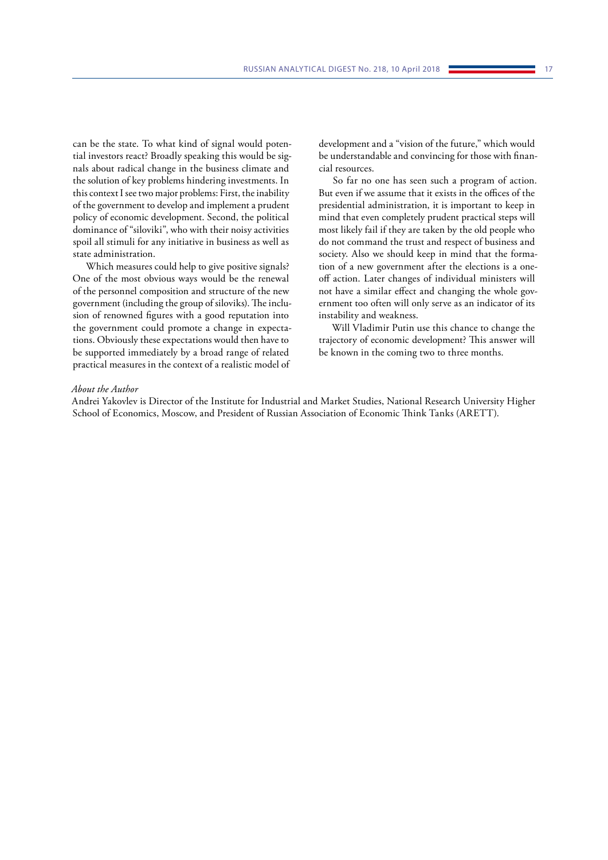can be the state. To what kind of signal would potential investors react? Broadly speaking this would be signals about radical change in the business climate and the solution of key problems hindering investments. In this context I see two major problems: First, the inability of the government to develop and implement a prudent policy of economic development. Second, the political dominance of "siloviki", who with their noisy activities spoil all stimuli for any initiative in business as well as state administration.

Which measures could help to give positive signals? One of the most obvious ways would be the renewal of the personnel composition and structure of the new government (including the group of siloviks). The inclusion of renowned figures with a good reputation into the government could promote a change in expectations. Obviously these expectations would then have to be supported immediately by a broad range of related practical measures in the context of a realistic model of development and a "vision of the future," which would be understandable and convincing for those with financial resources.

So far no one has seen such a program of action. But even if we assume that it exists in the offices of the presidential administration, it is important to keep in mind that even completely prudent practical steps will most likely fail if they are taken by the old people who do not command the trust and respect of business and society. Also we should keep in mind that the formation of a new government after the elections is a oneoff action. Later changes of individual ministers will not have a similar effect and changing the whole government too often will only serve as an indicator of its instability and weakness.

Will Vladimir Putin use this chance to change the trajectory of economic development? This answer will be known in the coming two to three months.

#### *About the Author*

Andrei Yakovlev is Director of the Institute for Industrial and Market Studies, National Research University Higher School of Economics, Moscow, and President of Russian Association of Economic Think Tanks (ARETT).